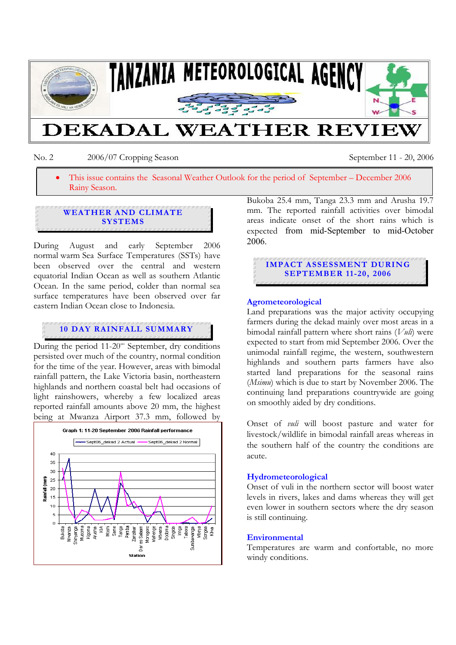

No. 2 2006/07 Cropping Season September 11 - 20, 2006

• This issue contains the Seasonal Weather Outlook for the period of September – December 2006 Rainy Season.

## **WEATHER AND CLIMATE SYSTEMS**

During August and early September 2006 normal warm Sea Surface Temperatures (SSTs) have been observed over the central and western equatorial Indian Ocean as well as southern Atlantic Ocean. In the same period, colder than normal sea surface temperatures have been observed over far eastern Indian Ocean close to Indonesia.

# **10 DAY RAINFALL SUMMARY**

During the period  $11{\text -}20^{\text{m}}$  September, dry conditions persisted over much of the country, normal condition for the time of the year. However, areas with bimodal rainfall pattern, the Lake Victoria basin, northeastern highlands and northern coastal belt had occasions of light rainshowers, whereby a few localized areas reported rainfall amounts above 20 mm, the highest being at Mwanza Airport 37.3 mm, followed by



Bukoba 25.4 mm, Tanga 23.3 mm and Arusha 19.7 mm. The reported rainfall activities over bimodal areas indicate onset of the short rains which is expected from mid-September to mid-October 2006.

# **IMPACT ASSESSMENT DURING SEPTEMBER 11-20, 2006**

### **Agrometeorological**

Land preparations was the major activity occupying farmers during the dekad mainly over most areas in a bimodal rainfall pattern where short rains (*Vuli*) were expected to start from mid September 2006. Over the unimodal rainfall regime, the western, southwestern highlands and southern parts farmers have also started land preparations for the seasonal rains (*Msimu*) which is due to start by November 2006. The continuing land preparations countrywide are going on smoothly aided by dry conditions.

Onset of *vuli* will boost pasture and water for livestock/wildlife in bimodal rainfall areas whereas in the southern half of the country the conditions are acute.

#### **Hydrometeorological**

Onset of vuli in the northern sector will boost water levels in rivers, lakes and dams whereas they will get even lower in southern sectors where the dry season is still continuing.

#### **Environmental**

Temperatures are warm and confortable, no more windy conditions.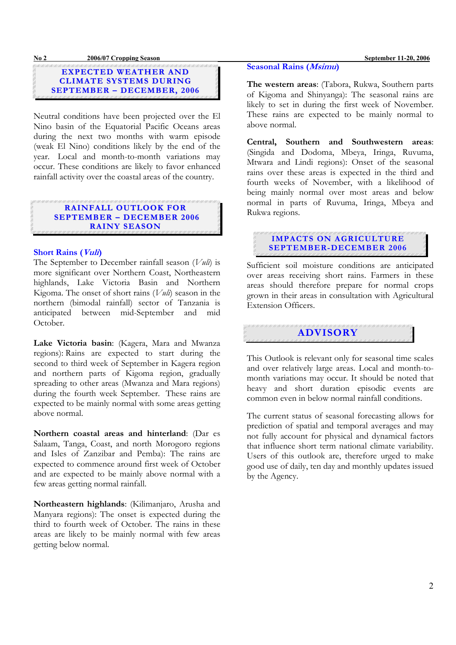#### **No 2 2006/07 Cropping Season September 11-20, 2006**

**EXPECTED WEATHER AND CLIMATE SYSTEMS DURING SEPTEMBER – DECEMBER, 2006**

Neutral conditions have been projected over the El Nino basin of the Equatorial Pacific Oceans areas during the next two months with warm episode (weak El Nino) conditions likely by the end of the year. Local and month-to-month variations may occur. These conditions are likely to favor enhanced rainfall activity over the coastal areas of the country.

#### **RAINFALL OUTLOOK FOR SEPTEMBER – DECEMBER 2006 RAINY S EASON**

#### **Short Rains (Vuli)**

The September to December rainfall season (*Vuli*) is more significant over Northern Coast, Northeastern highlands, Lake Victoria Basin and Northern Kigoma. The onset of short rains (*Vuli*) season in the northern (bimodal rainfall) sector of Tanzania is anticipated between mid-September and mid October.

**Lake Victoria basin**: (Kagera, Mara and Mwanza regions): Rains are expected to start during the second to third week of September in Kagera region and northern parts of Kigoma region, gradually spreading to other areas (Mwanza and Mara regions) during the fourth week September. These rains are expected to be mainly normal with some areas getting above normal.

**Northern coastal areas and hinterland**: (Dar es Salaam, Tanga, Coast, and north Morogoro regions and Isles of Zanzibar and Pemba): The rains are expected to commence around first week of October and are expected to be mainly above normal with a few areas getting normal rainfall.

**Northeastern highlands**: (Kilimanjaro, Arusha and Manyara regions): The onset is expected during the third to fourth week of October. The rains in these areas are likely to be mainly normal with few areas getting below normal.

#### **Seasonal Rains (Msimu)**

ł

**The western areas**: (Tabora, Rukwa, Southern parts of Kigoma and Shinyanga): The seasonal rains are likely to set in during the first week of November. These rains are expected to be mainly normal to above normal.

**Central, Southern and Southwestern areas**: (Singida and Dodoma, Mbeya, Iringa, Ruvuma, Mtwara and Lindi regions): Onset of the seasonal rains over these areas is expected in the third and fourth weeks of November, with a likelihood of being mainly normal over most areas and below normal in parts of Ruvuma, Iringa, Mbeya and Rukwa regions.

**IMPACTS ON AGRICULTURE SEPTEMBER-DECEMBER 2006**

Sufficient soil moisture conditions are anticipated over areas receiving short rains. Farmers in these areas should therefore prepare for normal crops grown in their areas in consultation with Agricultural Extension Officers.

**ADVISORY**

This Outlook is relevant only for seasonal time scales and over relatively large areas. Local and month-tomonth variations may occur. It should be noted that heavy and short duration episodic events are common even in below normal rainfall conditions.

The current status of seasonal forecasting allows for prediction of spatial and temporal averages and may not fully account for physical and dynamical factors that influence short term national climate variability. Users of this outlook are, therefore urged to make good use of daily, ten day and monthly updates issued by the Agency.